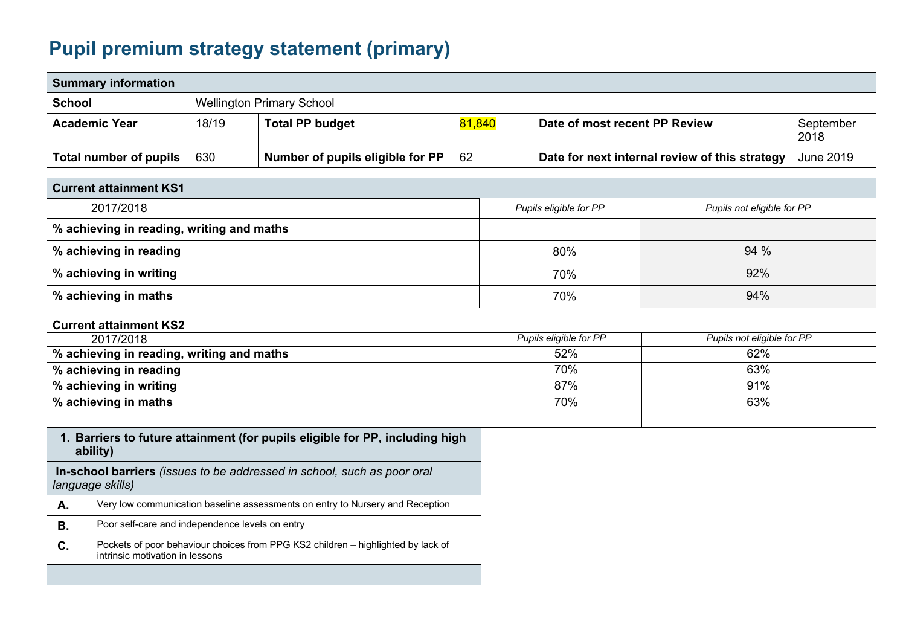## **Pupil premium strategy statement (primary)**

| <b>Summary information</b>                                                                  |                                                                                          |       |                                                                                  |                                                      |                        |                               |                                                |                   |
|---------------------------------------------------------------------------------------------|------------------------------------------------------------------------------------------|-------|----------------------------------------------------------------------------------|------------------------------------------------------|------------------------|-------------------------------|------------------------------------------------|-------------------|
| <b>School</b><br><b>Wellington Primary School</b>                                           |                                                                                          |       |                                                                                  |                                                      |                        |                               |                                                |                   |
|                                                                                             | <b>Academic Year</b>                                                                     | 18/19 | <b>Total PP budget</b>                                                           | 81,840                                               |                        | Date of most recent PP Review |                                                | September<br>2018 |
|                                                                                             | <b>Total number of pupils</b>                                                            | 630   | Number of pupils eligible for PP                                                 | 62                                                   |                        |                               | Date for next internal review of this strategy | <b>June 2019</b>  |
|                                                                                             | <b>Current attainment KS1</b>                                                            |       |                                                                                  |                                                      |                        |                               |                                                |                   |
| 2017/2018                                                                                   |                                                                                          |       |                                                                                  | Pupils eligible for PP<br>Pupils not eligible for PP |                        |                               |                                                |                   |
|                                                                                             | % achieving in reading, writing and maths                                                |       |                                                                                  |                                                      |                        |                               |                                                |                   |
| % achieving in reading                                                                      |                                                                                          |       |                                                                                  |                                                      | 80%                    | 94 %                          |                                                |                   |
| % achieving in writing                                                                      |                                                                                          |       |                                                                                  |                                                      | 70%                    | 92%                           |                                                |                   |
| % achieving in maths                                                                        |                                                                                          |       |                                                                                  |                                                      | 94%<br>70%             |                               |                                                |                   |
|                                                                                             | <b>Current attainment KS2</b>                                                            |       |                                                                                  |                                                      |                        |                               |                                                |                   |
| 2017/2018                                                                                   |                                                                                          |       |                                                                                  |                                                      | Pupils eligible for PP |                               | Pupils not eligible for PP                     |                   |
| % achieving in reading, writing and maths                                                   |                                                                                          |       |                                                                                  |                                                      |                        | 52%                           | 62%                                            |                   |
| % achieving in reading                                                                      |                                                                                          |       |                                                                                  |                                                      |                        | 70%<br>63%                    |                                                |                   |
|                                                                                             | % achieving in writing                                                                   |       |                                                                                  |                                                      |                        | 87%<br>91%                    |                                                |                   |
| % achieving in maths                                                                        |                                                                                          |       |                                                                                  |                                                      | 70%<br>63%             |                               |                                                |                   |
|                                                                                             |                                                                                          |       |                                                                                  |                                                      |                        |                               |                                                |                   |
|                                                                                             | 1. Barriers to future attainment (for pupils eligible for PP, including high<br>ability) |       |                                                                                  |                                                      |                        |                               |                                                |                   |
| In-school barriers (issues to be addressed in school, such as poor oral<br>language skills) |                                                                                          |       |                                                                                  |                                                      |                        |                               |                                                |                   |
| A.                                                                                          |                                                                                          |       | Very low communication baseline assessments on entry to Nursery and Reception    |                                                      |                        |                               |                                                |                   |
| <b>B.</b>                                                                                   | Poor self-care and independence levels on entry                                          |       |                                                                                  |                                                      |                        |                               |                                                |                   |
| C.                                                                                          | intrinsic motivation in lessons                                                          |       | Pockets of poor behaviour choices from PPG KS2 children - highlighted by lack of |                                                      |                        |                               |                                                |                   |
|                                                                                             |                                                                                          |       |                                                                                  |                                                      |                        |                               |                                                |                   |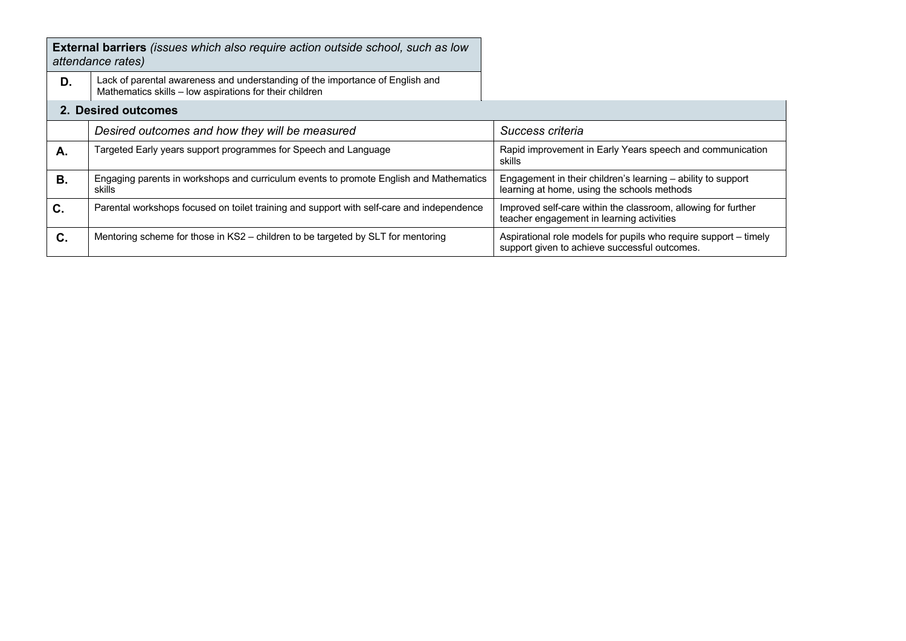|                     | <b>External barriers</b> (issues which also require action outside school, such as low<br>attendance rates)                              |                                                                                                                   |  |  |  |
|---------------------|------------------------------------------------------------------------------------------------------------------------------------------|-------------------------------------------------------------------------------------------------------------------|--|--|--|
| D.                  | Lack of parental awareness and understanding of the importance of English and<br>Mathematics skills - low aspirations for their children |                                                                                                                   |  |  |  |
| 2. Desired outcomes |                                                                                                                                          |                                                                                                                   |  |  |  |
|                     | Desired outcomes and how they will be measured                                                                                           | Success criteria                                                                                                  |  |  |  |
| А.                  | Targeted Early years support programmes for Speech and Language                                                                          | Rapid improvement in Early Years speech and communication<br>skills                                               |  |  |  |
| В.                  | Engaging parents in workshops and curriculum events to promote English and Mathematics<br>skills                                         | Engagement in their children's learning – ability to support<br>learning at home, using the schools methods       |  |  |  |
| C.                  | Parental workshops focused on toilet training and support with self-care and independence                                                | Improved self-care within the classroom, allowing for further<br>teacher engagement in learning activities        |  |  |  |
| C.                  | Mentoring scheme for those in KS2 – children to be targeted by SLT for mentoring                                                         | Aspirational role models for pupils who require support – timely<br>support given to achieve successful outcomes. |  |  |  |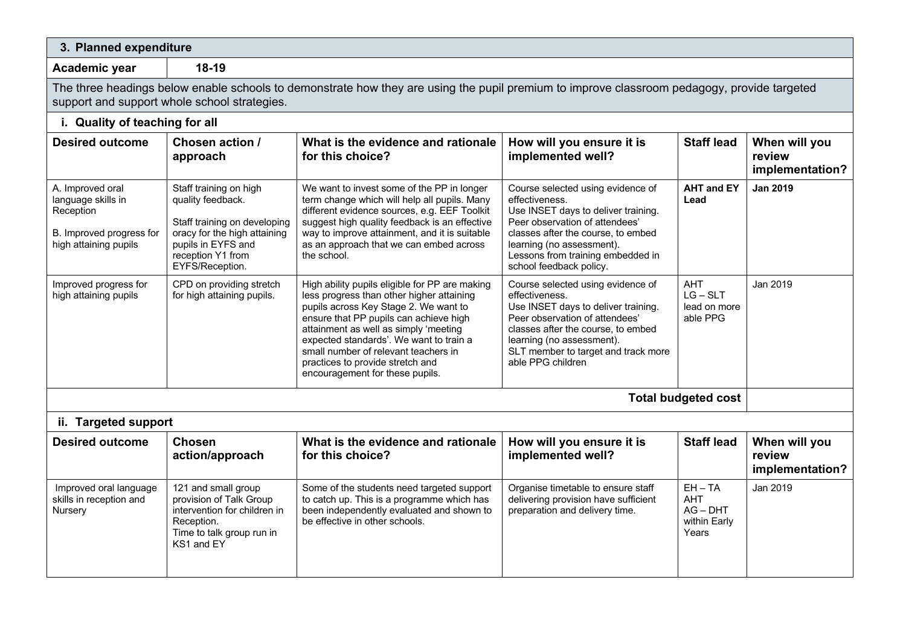| 3. Planned expenditure                                                                                                                                                                      |                                                                                                                                                                                                                                                                                                                    |                                                                                                                                                                                                                                                                                                                                                                                                                                                                                                                                                                                                                                                  |                                                                                                                                                                                                                                                                 |                                                                |                                            |  |  |
|---------------------------------------------------------------------------------------------------------------------------------------------------------------------------------------------|--------------------------------------------------------------------------------------------------------------------------------------------------------------------------------------------------------------------------------------------------------------------------------------------------------------------|--------------------------------------------------------------------------------------------------------------------------------------------------------------------------------------------------------------------------------------------------------------------------------------------------------------------------------------------------------------------------------------------------------------------------------------------------------------------------------------------------------------------------------------------------------------------------------------------------------------------------------------------------|-----------------------------------------------------------------------------------------------------------------------------------------------------------------------------------------------------------------------------------------------------------------|----------------------------------------------------------------|--------------------------------------------|--|--|
| Academic year                                                                                                                                                                               | 18-19                                                                                                                                                                                                                                                                                                              |                                                                                                                                                                                                                                                                                                                                                                                                                                                                                                                                                                                                                                                  |                                                                                                                                                                                                                                                                 |                                                                |                                            |  |  |
| The three headings below enable schools to demonstrate how they are using the pupil premium to improve classroom pedagogy, provide targeted<br>support and support whole school strategies. |                                                                                                                                                                                                                                                                                                                    |                                                                                                                                                                                                                                                                                                                                                                                                                                                                                                                                                                                                                                                  |                                                                                                                                                                                                                                                                 |                                                                |                                            |  |  |
| i. Quality of teaching for all                                                                                                                                                              |                                                                                                                                                                                                                                                                                                                    |                                                                                                                                                                                                                                                                                                                                                                                                                                                                                                                                                                                                                                                  |                                                                                                                                                                                                                                                                 |                                                                |                                            |  |  |
| <b>Desired outcome</b>                                                                                                                                                                      | Chosen action /<br>approach                                                                                                                                                                                                                                                                                        | What is the evidence and rationale<br>for this choice?                                                                                                                                                                                                                                                                                                                                                                                                                                                                                                                                                                                           | How will you ensure it is<br>implemented well?                                                                                                                                                                                                                  | <b>Staff lead</b>                                              | When will you<br>review<br>implementation? |  |  |
| A. Improved oral<br>language skills in<br>Reception<br>B. Improved progress for<br>high attaining pupils                                                                                    | Staff training on high<br>quality feedback.<br>Staff training on developing<br>oracy for the high attaining<br>pupils in EYFS and<br>reception Y1 from<br>EYFS/Reception.                                                                                                                                          | We want to invest some of the PP in longer<br>term change which will help all pupils. Many<br>different evidence sources, e.g. EEF Toolkit<br>suggest high quality feedback is an effective<br>way to improve attainment, and it is suitable<br>as an approach that we can embed across<br>the school.                                                                                                                                                                                                                                                                                                                                           | Course selected using evidence of<br>effectiveness.<br>Use INSET days to deliver training.<br>Peer observation of attendees'<br>classes after the course, to embed<br>learning (no assessment).<br>Lessons from training embedded in<br>school feedback policy. | <b>AHT and EY</b><br>Lead                                      | <b>Jan 2019</b>                            |  |  |
| Improved progress for<br>high attaining pupils                                                                                                                                              | CPD on providing stretch<br>for high attaining pupils.                                                                                                                                                                                                                                                             | High ability pupils eligible for PP are making<br>Course selected using evidence of<br>less progress than other higher attaining<br>effectiveness.<br>pupils across Key Stage 2. We want to<br>Use INSET days to deliver training.<br>ensure that PP pupils can achieve high<br>Peer observation of attendees'<br>attainment as well as simply 'meeting<br>classes after the course, to embed<br>expected standards'. We want to train a<br>learning (no assessment).<br>small number of relevant teachers in<br>SLT member to target and track more<br>able PPG children<br>practices to provide stretch and<br>encouragement for these pupils. |                                                                                                                                                                                                                                                                 | <b>AHT</b><br>$LG-SLT$<br>lead on more<br>able PPG             | Jan 2019                                   |  |  |
| <b>Total budgeted cost</b>                                                                                                                                                                  |                                                                                                                                                                                                                                                                                                                    |                                                                                                                                                                                                                                                                                                                                                                                                                                                                                                                                                                                                                                                  |                                                                                                                                                                                                                                                                 |                                                                |                                            |  |  |
| ii. Targeted support                                                                                                                                                                        |                                                                                                                                                                                                                                                                                                                    |                                                                                                                                                                                                                                                                                                                                                                                                                                                                                                                                                                                                                                                  |                                                                                                                                                                                                                                                                 |                                                                |                                            |  |  |
| <b>Desired outcome</b>                                                                                                                                                                      | <b>Chosen</b><br>action/approach                                                                                                                                                                                                                                                                                   | What is the evidence and rationale<br>for this choice?                                                                                                                                                                                                                                                                                                                                                                                                                                                                                                                                                                                           | How will you ensure it is<br>implemented well?                                                                                                                                                                                                                  | <b>Staff lead</b>                                              | When will you<br>review<br>implementation? |  |  |
| Improved oral language<br>skills in reception and<br>Nursery                                                                                                                                | 121 and small group<br>Some of the students need targeted support<br>provision of Talk Group<br>to catch up. This is a programme which has<br>intervention for children in<br>been independently evaluated and shown to<br>Reception.<br>be effective in other schools.<br>Time to talk group run in<br>KS1 and EY |                                                                                                                                                                                                                                                                                                                                                                                                                                                                                                                                                                                                                                                  | Organise timetable to ensure staff<br>delivering provision have sufficient<br>preparation and delivery time.                                                                                                                                                    | $EH - TA$<br><b>AHT</b><br>$AG - DHT$<br>within Early<br>Years | Jan 2019                                   |  |  |